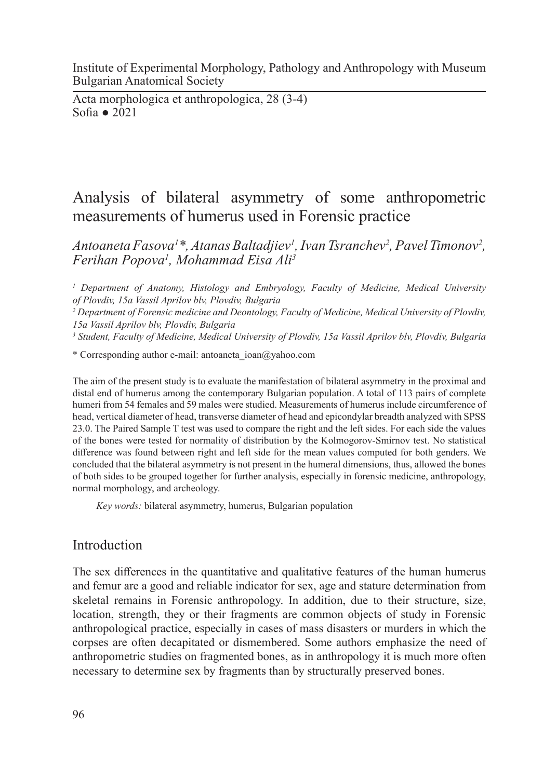Institute of Experimental Morphology, Pathology and Anthropology with Museum Bulgarian Anatomical Society

Acta morphologica et anthropologica, 28 (3-4) Sofia ● 2021

# Analysis of bilateral asymmetry of some anthropometric measurements of humerus used in Forensic practice

*Antoaneta Fasova1 \*, Atanas Baltadjiev1 , Ivan Tsranchev2 , Pavel Timonov2 , Ferihan Popova1 , Mohammad Eisa Ali3*

<sup>1</sup> Department of Anatomy, Histology and Embryology, Faculty of Medicine, Medical University *of Plovdiv, 15a Vassil Aprilov blv, Plovdiv, Bulgaria* 

*2 Department of Forensic medicine and Deontology, Faculty of Medicine, Medical University of Plovdiv, 15a Vassil Aprilov blv, Plovdiv, Bulgaria* 

*3 Student, Faculty of Medicine, Medical University of Plovdiv, 15a Vassil Aprilov blv, Plovdiv, Bulgaria*

\* Corresponding author e-mail: antoaneta\_ioan@yahoo.com

The aim of the present study is to evaluate the manifestation of bilateral asymmetry in the proximal and distal end of humerus among the contemporary Bulgarian population. A total of 113 pairs of complete humeri from 54 females and 59 males were studied. Measurements of humerus include circumference of head, vertical diameter of head, transverse diameter of head and epicondylar breadth analyzed with SPSS 23.0. The Paired Sample T test was used to compare the right and the left sides. For each side the values of the bones were tested for normality of distribution by the Kolmogorov-Smirnov test. No statistical difference was found between right and left side for the mean values computed for both genders. We concluded that the bilateral asymmetry is not present in the humeral dimensions, thus, allowed the bones of both sides to be grouped together for further analysis, especially in forensic medicine, anthropology, normal morphology, and archeology.

*Key words:* bilateral asymmetry, humerus, Bulgarian population

## Introduction

The sex differences in the quantitative and qualitative features of the human humerus and femur are a good and reliable indicator for sex, age and stature determination from skeletal remains in Forensic anthropology. In addition, due to their structure, size, location, strength, they or their fragments are common objects of study in Forensic anthropological practice, especially in cases of mass disasters or murders in which the corpses are often decapitated or dismembered. Some authors emphasize the need of anthropometric studies on fragmented bones, as in anthropology it is much more often necessary to determine sex by fragments than by structurally preserved bones.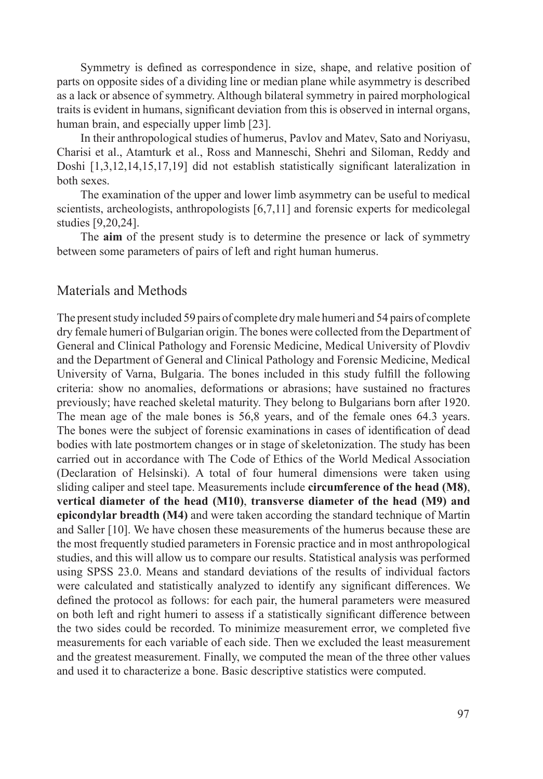Symmetry is defined as correspondence in size, shape, and relative position of parts on opposite sides of a dividing line or median plane while asymmetry is described as a lack or absence of symmetry. Although bilateral symmetry in paired morphological traits is evident in humans, significant deviation from this is observed in internal organs, human brain, and especially upper limb [23].

In their anthropological studies of humerus, Pavlov and Matev, Sato and Noriyasu, Charisi et al., Atamturk et al., Ross and Manneschi, Shehri and Siloman, Reddy and Doshi [1,3,12,14,15,17,19] did not establish statistically significant lateralization in both sexes.

The examination of the upper and lower limb asymmetry can be useful to medical scientists, archeologists, anthropologists [6,7,11] and forensic experts for medicolegal studies [9,20,24].

The **aim** of the present study is to determine the presence or lack of symmetry between some parameters of pairs of left and right human humerus.

### Materials and Methods

The present study included 59 pairs of complete dry male humeri and 54 pairs of complete dry female humeri of Bulgarian origin. The bones were collected from the Department of General and Clinical Pathology and Forensic Medicine, Medical University of Plovdiv and the Department of General and Clinical Pathology and Forensic Medicine, Medical University of Varna, Bulgaria. The bones included in this study fulfill the following criteria: show no anomalies, deformations or abrasions; have sustained no fractures previously; have reached skeletal maturity. They belong to Bulgarians born after 1920. The mean age of the male bones is 56,8 years, and of the female ones 64.3 years. The bones were the subject of forensic examinations in cases of identification of dead bodies with late postmortem changes or in stage of skeletonization. The study has been carried out in accordance with The Code of Ethics of the World Medical Association (Declaration of Helsinski). A total of four humeral dimensions were taken using sliding caliper and steel tape. Measurements include **circumference of the head (M8)**, **vertical diameter of the head (M10)**, **transverse diameter of the head (M9) and epicondylar breadth (M4)** and were taken according the standard technique of Martin and Saller [10]. We have chosen these measurements of the humerus because these are the most frequently studied parameters in Forensic practice and in most anthropological studies, and this will allow us to compare our results. Statistical analysis was performed using SPSS 23.0. Means and standard deviations of the results of individual factors were calculated and statistically analyzed to identify any significant differences. We defined the protocol as follows: for each pair, the humeral parameters were measured on both left and right humeri to assess if a statistically significant difference between the two sides could be recorded. To minimize measurement error, we completed five measurements for each variable of each side. Then we excluded the least measurement and the greatest measurement. Finally, we computed the mean of the three other values and used it to characterize a bone. Basic descriptive statistics were computed.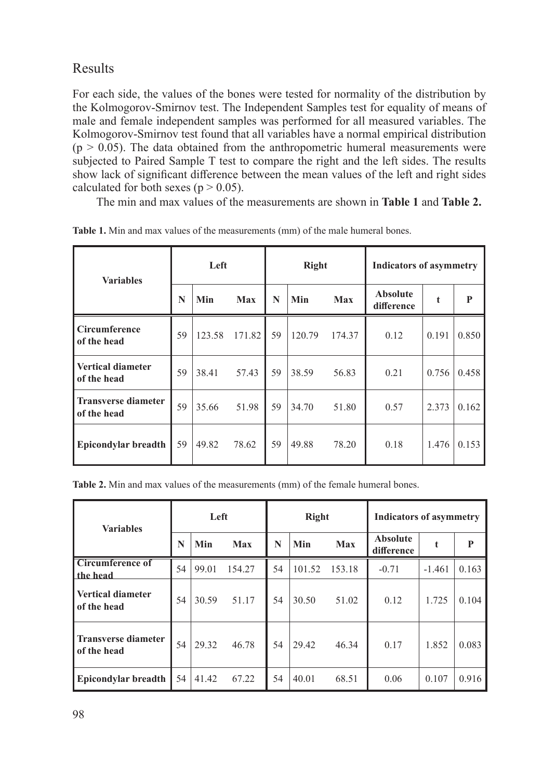Results

For each side, the values of the bones were tested for normality of the distribution by the Kolmogorov-Smirnov test. The Independent Samples test for equality of means of male and female independent samples was performed for all measured variables. The Kolmogorov-Smirnov test found that all variables have a normal empirical distribution  $(p > 0.05)$ . The data obtained from the anthropometric humeral measurements were subjected to Paired Sample T test to compare the right and the left sides. The results show lack of significant difference between the mean values of the left and right sides calculated for both sexes ( $p > 0.05$ ).

The min and max values of the measurements are shown in **Table 1** and **Table 2.**

| <b>Variables</b>                          | Left |        |        | Right |        |            | <b>Indicators of asymmetry</b> |       |       |
|-------------------------------------------|------|--------|--------|-------|--------|------------|--------------------------------|-------|-------|
|                                           | N    | Min    | Max    | N     | Min    | <b>Max</b> | <b>Absolute</b><br>difference  | t     | P     |
| Circumference<br>of the head              | 59   | 123.58 | 171.82 | 59    | 120.79 | 174.37     | 0.12                           | 0.191 | 0.850 |
| <b>Vertical diameter</b><br>of the head   | 59   | 38.41  | 57.43  | 59    | 38.59  | 56.83      | 0.21                           | 0.756 | 0.458 |
| <b>Transverse diameter</b><br>of the head | 59   | 35.66  | 51.98  | 59    | 34.70  | 51.80      | 0.57                           | 2.373 | 0.162 |
| Epicondylar breadth                       | 59   | 49.82  | 78.62  | 59    | 49.88  | 78.20      | 0.18                           | 1.476 | 0.153 |

**Table 1.** Min and max values of the measurements (mm) of the male humeral bones.

**Table 2.** Min and max values of the measurements (mm) of the female humeral bones.

| <b>Variables</b>                          | Left |       |        | <b>Right</b> |        |        | <b>Indicators of asymmetry</b> |          |       |
|-------------------------------------------|------|-------|--------|--------------|--------|--------|--------------------------------|----------|-------|
|                                           | N    | Min   | Max    | N            | Min    | Max    | <b>Absolute</b><br>difference  |          | P     |
| <b>Circumference of</b><br>the head       | 54   | 99.01 | 154.27 | 54           | 101.52 | 153.18 | $-0.71$                        | $-1.461$ | 0.163 |
| <b>Vertical diameter</b><br>of the head   | 54   | 30.59 | 51.17  | 54           | 30.50  | 51.02  | 0.12                           | 1.725    | 0.104 |
| <b>Transverse diameter</b><br>of the head | 54   | 29.32 | 46.78  | 54           | 29.42  | 46.34  | 0.17                           | 1.852    | 0.083 |
| <b>Epicondylar breadth</b>                | 54   | 41.42 | 67.22  | 54           | 40.01  | 68.51  | 0.06                           | 0.107    | 0.916 |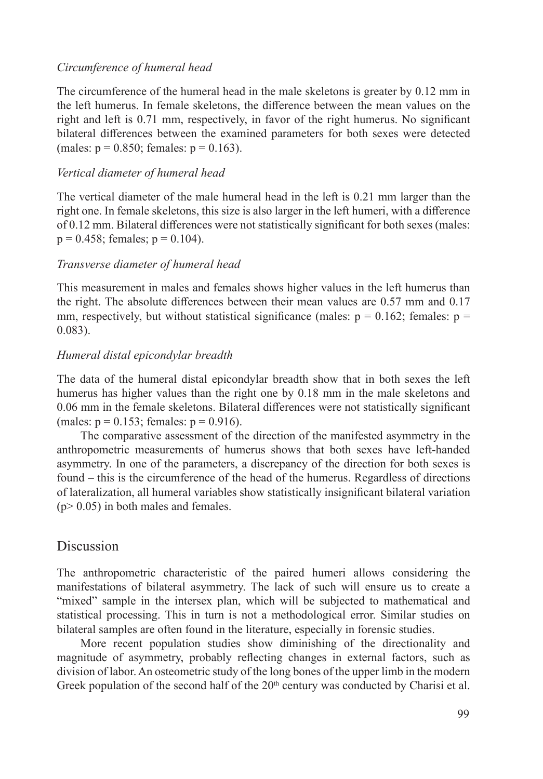#### *Circumference of humeral head*

The circumference of the humeral head in the male skeletons is greater by 0.12 mm in the left humerus. In female skeletons, the difference between the mean values on the right and left is 0.71 mm, respectively, in favor of the right humerus. No significant bilateral differences between the examined parameters for both sexes were detected (males:  $p = 0.850$ ; females:  $p = 0.163$ ).

### *Vertical diameter of humeral head*

The vertical diameter of the male humeral head in the left is 0.21 mm larger than the right one. In female skeletons, this size is also larger in the left humeri, with a difference of 0.12 mm. Bilateral differences were not statistically significant for both sexes (males:  $p = 0.458$ ; females;  $p = 0.104$ ).

### *Transverse diameter of humeral head*

This measurement in males and females shows higher values in the left humerus than the right. The absolute differences between their mean values are 0.57 mm and 0.17 mm, respectively, but without statistical significance (males:  $p = 0.162$ ; females:  $p =$ 0.083).

### *Humeral distal epicondylar breadth*

The data of the humeral distal epicondylar breadth show that in both sexes the left humerus has higher values than the right one by 0.18 mm in the male skeletons and 0.06 mm in the female skeletons. Bilateral differences were not statistically significant (males:  $p = 0.153$ ; females:  $p = 0.916$ ).

The comparative assessment of the direction of the manifested asymmetry in the anthropometric measurements of humerus shows that both sexes have left-handed asymmetry. In one of the parameters, a discrepancy of the direction for both sexes is found – this is the circumference of the head of the humerus. Regardless of directions of lateralization, all humeral variables show statistically insignificant bilateral variation  $(p > 0.05)$  in both males and females.

## Discussion

The anthropometric characteristic of the paired humeri allows considering the manifestations of bilateral asymmetry. The lack of such will ensure us to create a "mixed" sample in the intersex plan, which will be subjected to mathematical and statistical processing. This in turn is not a methodological error. Similar studies on bilateral samples are often found in the literature, especially in forensic studies.

More recent population studies show diminishing of the directionality and magnitude of asymmetry, probably reflecting changes in external factors, such as division of labor. An osteometric study of the long bones of the upper limb in the modern Greek population of the second half of the  $20<sup>th</sup>$  century was conducted by Charisi et al.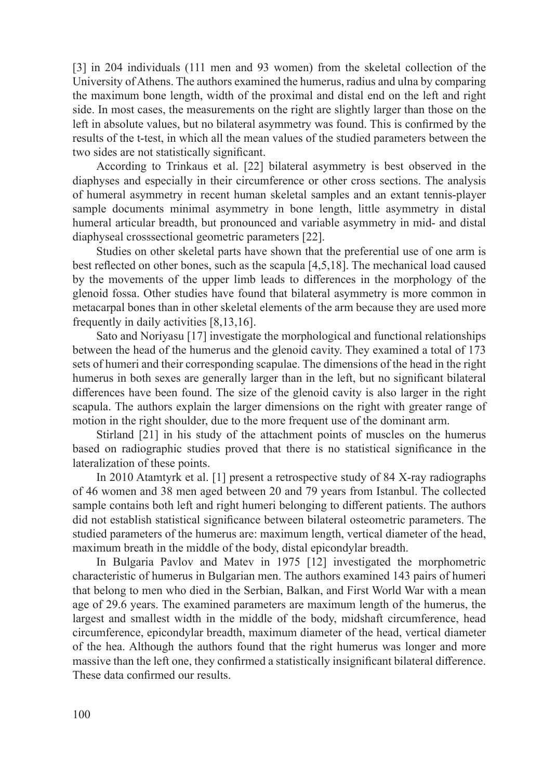[3] in 204 individuals (111 men and 93 women) from the skeletal collection of the University of Athens. The authors examined the humerus, radius and ulna by comparing the maximum bone length, width of the proximal and distal end on the left and right side. In most cases, the measurements on the right are slightly larger than those on the left in absolute values, but no bilateral asymmetry was found. This is confirmed by the results of the t-test, in which all the mean values of the studied parameters between the two sides are not statistically significant.

According to Trinkaus et al. [22] bilateral asymmetry is best observed in the diaphyses and especially in their circumference or other cross sections. The analysis of humeral asymmetry in recent human skeletal samples and an extant tennis-player sample documents minimal asymmetry in bone length, little asymmetry in distal humeral articular breadth, but pronounced and variable asymmetry in mid- and distal diaphyseal crosssectional geometric parameters [22].

Studies on other skeletal parts have shown that the preferential use of one arm is best reflected on other bones, such as the scapula [4,5,18]. The mechanical load caused by the movements of the upper limb leads to differences in the morphology of the glenoid fossa. Other studies have found that bilateral asymmetry is more common in metacarpal bones than in other skeletal elements of the arm because they are used more frequently in daily activities [8,13,16].

Sato and Noriyasu [17] investigate the morphological and functional relationships between the head of the humerus and the glenoid cavity. They examined a total of 173 sets of humeri and their corresponding scapulae. The dimensions of the head in the right humerus in both sexes are generally larger than in the left, but no significant bilateral differences have been found. The size of the glenoid cavity is also larger in the right scapula. The authors explain the larger dimensions on the right with greater range of motion in the right shoulder, due to the more frequent use of the dominant arm.

Stirland [21] in his study of the attachment points of muscles on the humerus based on radiographic studies proved that there is no statistical significance in the lateralization of these points.

In 2010 Atamtyrk et al. [1] present a retrospective study of 84 X-ray radiographs of 46 women and 38 men aged between 20 and 79 years from Istanbul. The collected sample contains both left and right humeri belonging to different patients. The authors did not establish statistical significance between bilateral osteometric parameters. The studied parameters of the humerus are: maximum length, vertical diameter of the head, maximum breath in the middle of the body, distal epicondylar breadth.

In Bulgaria Pavlov and Matev in 1975 [12] investigated the morphometric characteristic of humerus in Bulgarian men. The authors examined 143 pairs of humeri that belong to men who died in the Serbian, Balkan, and First World War with a mean age of 29.6 years. The examined parameters are maximum length of the humerus, the largest and smallest width in the middle of the body, midshaft circumference, head circumference, epicondylar breadth, maximum diameter of the head, vertical diameter of the hea. Although the authors found that the right humerus was longer and more massive than the left one, they confirmed a statistically insignificant bilateral difference. These data confirmed our results.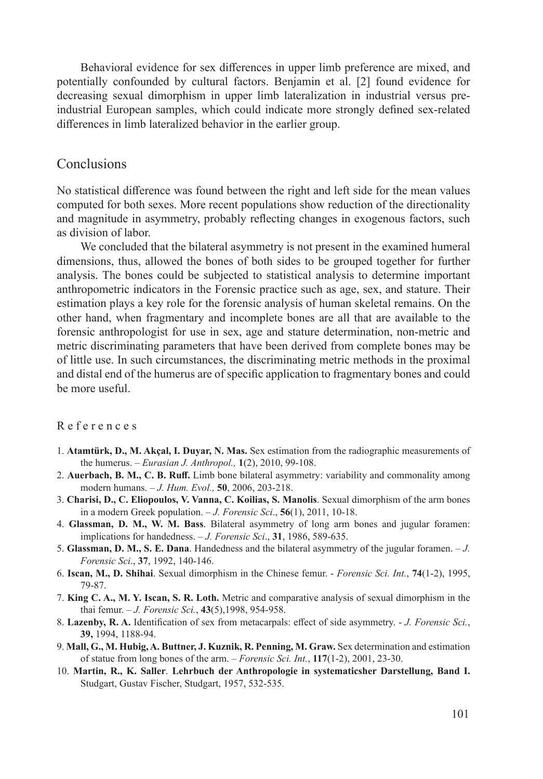Behavioral evidence for sex differences in upper limb preference are mixed, and potentially confounded by cultural factors. Benjamin et al. [2] found evidence for decreasing sexual dimorphism in upper limb lateralization in industrial versus preindustrial European samples, which could indicate more strongly defined sex-related differences in limb lateralized behavior in the earlier group.

## Conclusions

No statistical difference was found between the right and left side for the mean values computed for both sexes. More recent populations show reduction of the directionality and magnitude in asymmetry, probably reflecting changes in exogenous factors, such as division of labor.

We concluded that the bilateral asymmetry is not present in the examined humeral dimensions, thus, allowed the bones of both sides to be grouped together for further analysis. The bones could be subjected to statistical analysis to determine important anthropometric indicators in the Forensic practice such as age, sex, and stature. Their estimation plays a key role for the forensic analysis of human skeletal remains. On the other hand, when fragmentary and incomplete bones are all that are available to the forensic anthropologist for use in sex, age and stature determination, non-metric and metric discriminating parameters that have been derived from complete bones may be of little use. In such circumstances, the discriminating metric methods in the proximal and distal end of the humerus are of specific application to fragmentary bones and could be more useful.

#### References

- 1. **Atamtürk, D., M. Akçal, I. Duyar, N. Mas.** Sex estimation from the radiographic measurements of the humerus. – *Eurasian J. Anthropol.,* **1**(2), 2010, 99-108.
- 2. **Auerbach, B. M., C. B. Ruff.** Limb bone bilateral asymmetry: variability and commonality among modern humans. – *J. Hum. Evol.,* **50**, 2006, 203-218.
- 3. **Charisi, D., C. Eliopoulos, V. Vanna, C. Koilias, S. Manolis**. Sexual dimorphism of the arm bones in a modern Greek population. – *J. Forensic Sci*., **56**(1), 2011, 10-18.
- 4. **Glassman, D. M., W. M. Bass**. Bilateral asymmetry of long arm bones and jugular foramen: implications for handedness. – *J. Forensic Sci*., **31**, 1986, 589-635.
- 5. **Glassman, D. M., S. E. Dana**. Handedness and the bilateral asymmetry of the jugular foramen. *J. Forensic Sci*., **37**, 1992, 140-146.
- 6. **Iscan, M., D. Shihai**. Sexual dimorphism in the Chinese femur. *Forensic Sci. Int.*, **74**(1-2), 1995, 79-87.
- 7. **King C. A., M. Y. Iscan, S. R. Loth.** Metric and comparative analysis of sexual dimorphism in the thai femur. – *J. Forensic Sci.*, **43**(5),1998, 954-958.
- 8. **Lazenby, R. A.** Identification of sex from metacarpals: effect of side asymmetry. *J. Forensic Sci.*, **39,** 1994, 1188-94.
- 9. **Mall, G., M. Hubig, A. Buttner, J. Kuznik, R. Penning, M. Graw.** Sex determination and estimation of statue from long bones of the arm. – *Forensic Sci. Int.*, **117**(1-2), 2001, 23-30.
- 10. **Martin, R., K. Saller**. **Lehrbuch der Anthropologie in systematicsher Darstellung, Band I.** Studgart, Gustav Fischer, Studgart, 1957, 532-535.